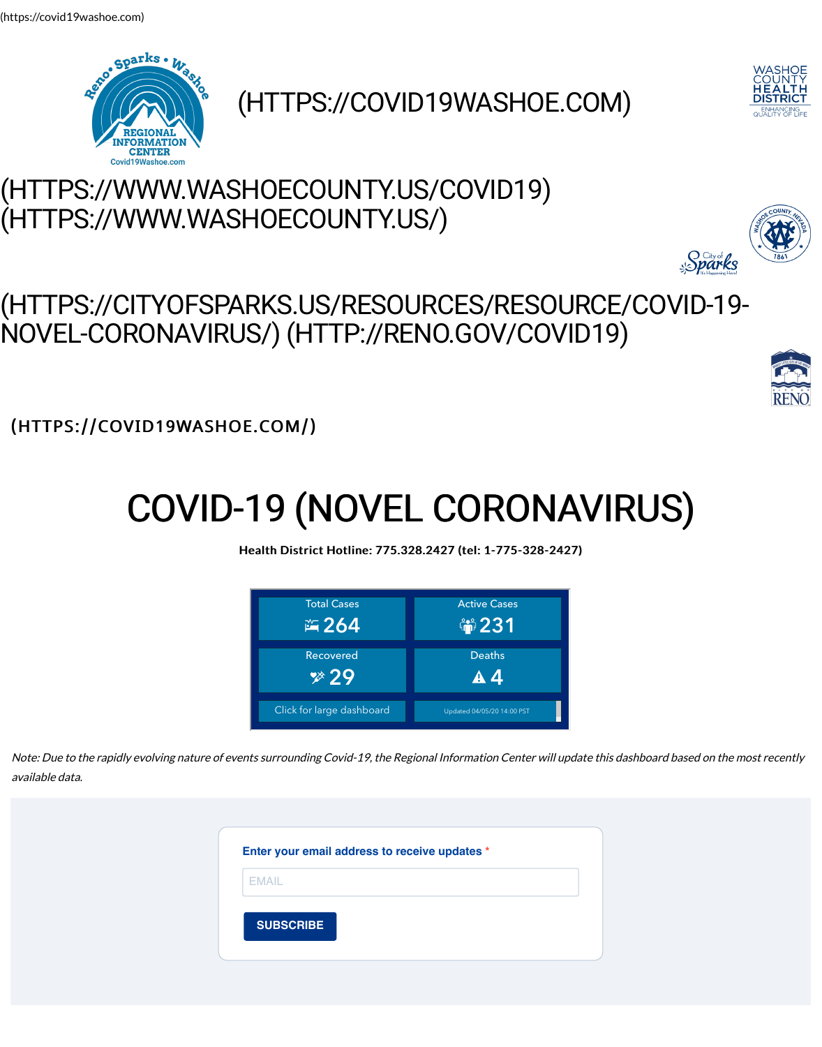# COVID-19 (NOVEL

#### Health District Hotline: 775.328.24



Note: Due to the rapidly evolving nature of events surrounding Covid-19, the Regional available data.

|              | Enter your email address to receive |  |
|--------------|-------------------------------------|--|
| <b>EMAIL</b> |                                     |  |
|              | <b>SUBSCRIBE</b>                    |  |
|              |                                     |  |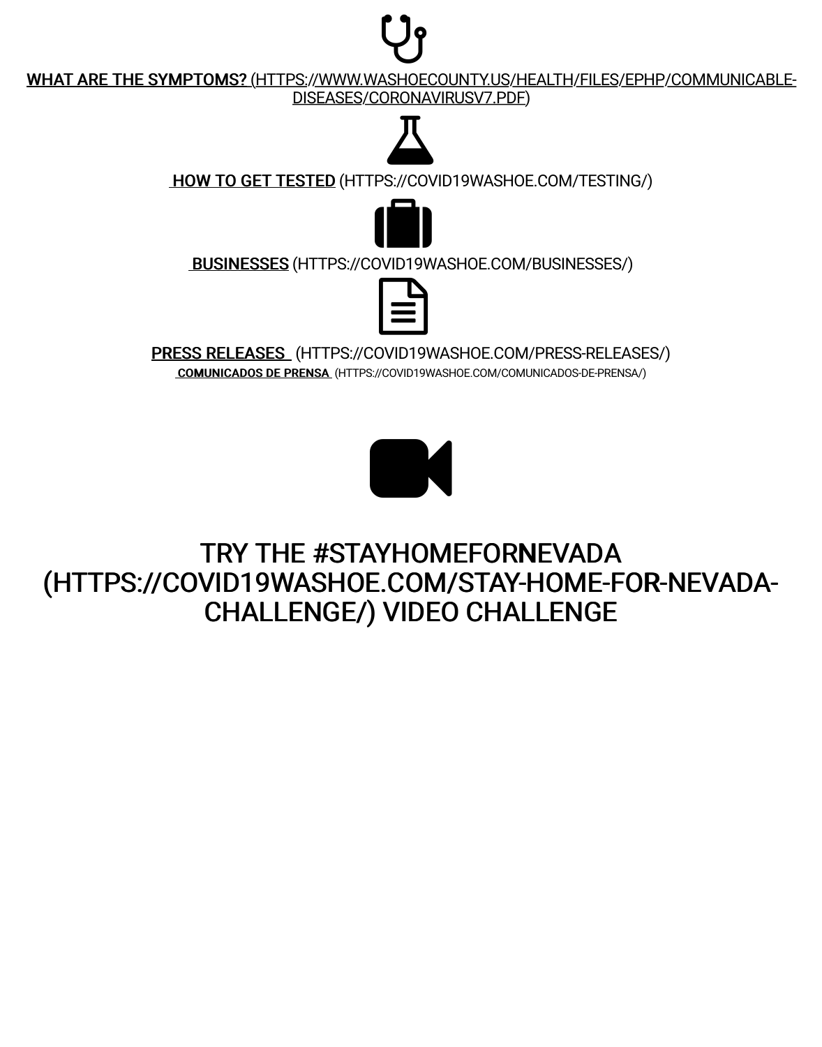

### TRY THE #STAYHOM (HTTPS://COVID19WASHOE.CON CHALLENGE/) VIDE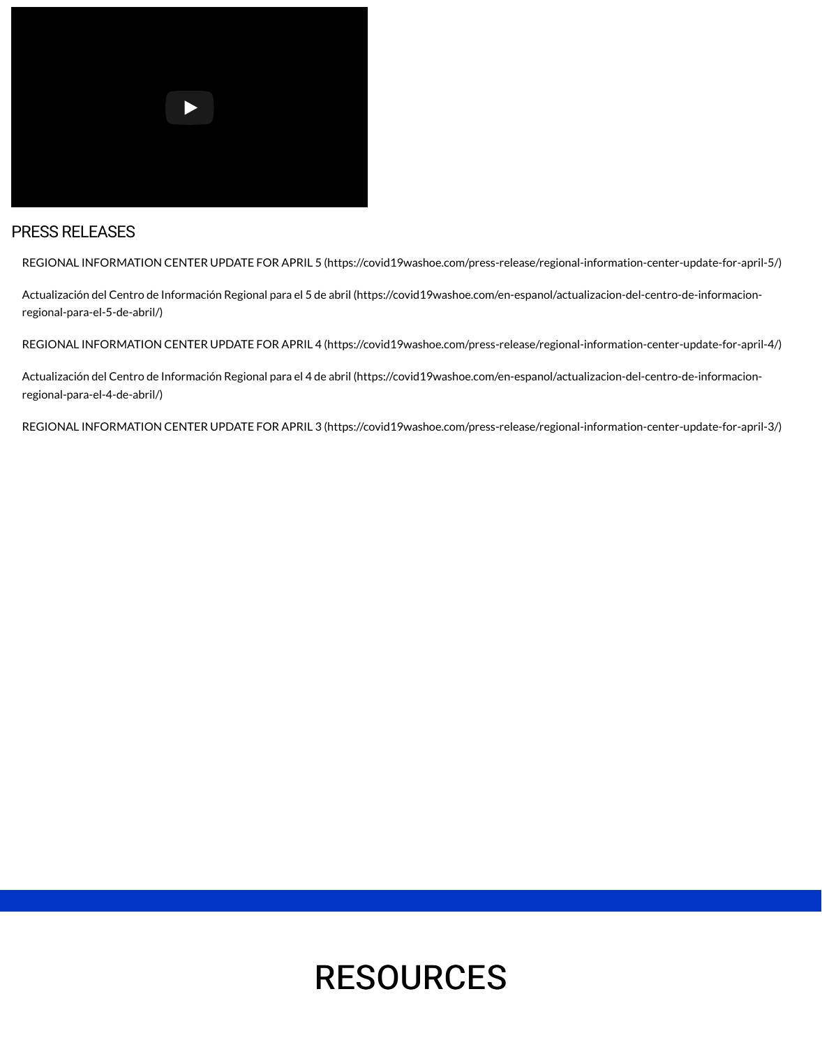## RESOUR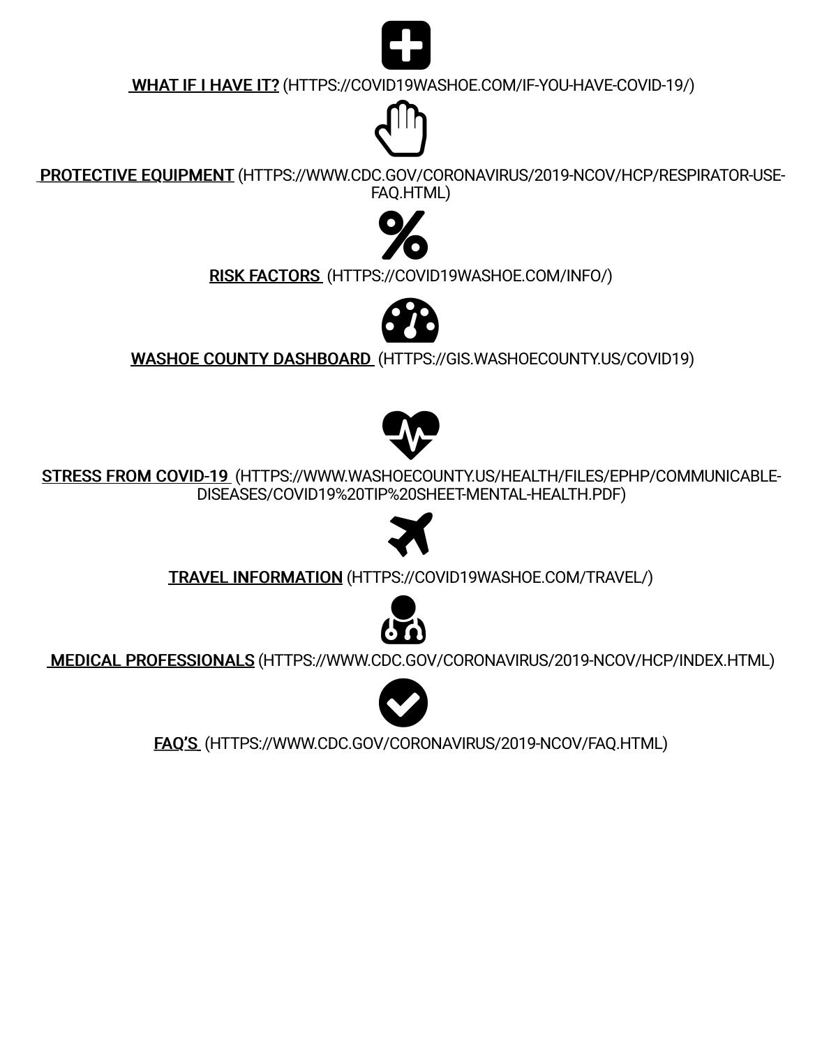$\begin{array}{c} \begin{array}{c} \text{S.} \end{array} \end{array}$ DISEASES/COVID19%20TIP%20SH



### TRAVEL INFORMATION (HTTPS://CO



#### MEDICAL PROFESSIONALS (HTTPS://WWW.CDC.GOV



### FAQ'S (HTTPS://WWW.CDC.GOV/CORON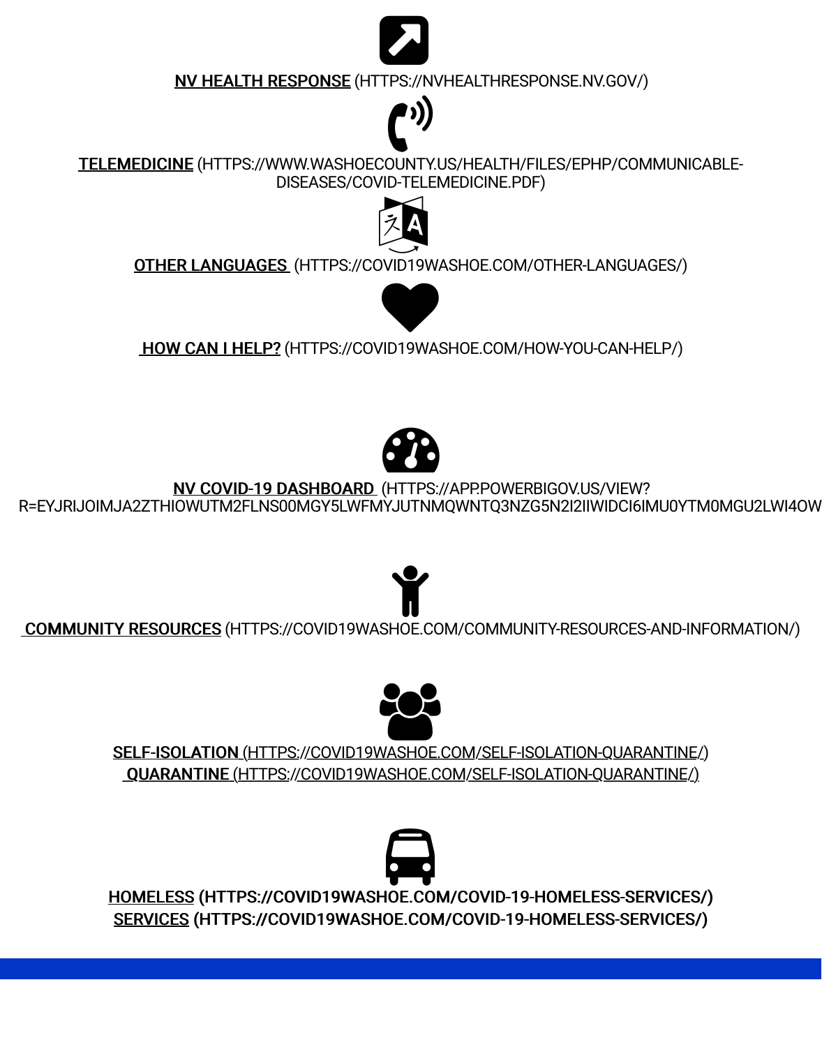#### <u>NV COVID-19 DASHBOARD</u> (HTTPS R=EYJRIJOIMJA2ZTHIOWUTM2FLNS00MGY5LWFMYJUTNM

## [2](https://nvhealthresponse.nv.gov/) COMMUNITY RESOURCES (HTTPS://COVID19WASHOE.COM

### SELF-ISOLATION (HTTPS://COVID19WASHOE 3 QUARANTINE (HTTPS://COVID19WASHOE.C

### **Q** HOMELESS (HTTPS://COVID19WASHOE.COM SERVICES (HTTPS://COVID19WASHOE.COM